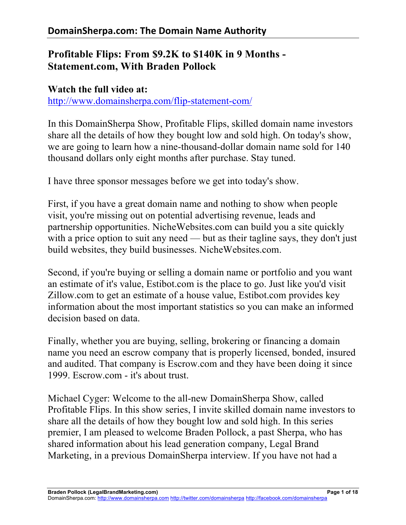# **Profitable Flips: From \$9.2K to \$140K in 9 Months - Statement.com, With Braden Pollock**

**Watch the full video at:** http://www.domainsherpa.com/flip-statement-com/

In this DomainSherpa Show, Profitable Flips, skilled domain name investors share all the details of how they bought low and sold high. On today's show, we are going to learn how a nine-thousand-dollar domain name sold for 140 thousand dollars only eight months after purchase. Stay tuned.

I have three sponsor messages before we get into today's show.

First, if you have a great domain name and nothing to show when people visit, you're missing out on potential advertising revenue, leads and partnership opportunities. NicheWebsites.com can build you a site quickly with a price option to suit any need — but as their tagline says, they don't just build websites, they build businesses. NicheWebsites.com.

Second, if you're buying or selling a domain name or portfolio and you want an estimate of it's value, Estibot.com is the place to go. Just like you'd visit Zillow.com to get an estimate of a house value, Estibot.com provides key information about the most important statistics so you can make an informed decision based on data.

Finally, whether you are buying, selling, brokering or financing a domain name you need an escrow company that is properly licensed, bonded, insured and audited. That company is Escrow.com and they have been doing it since 1999. Escrow.com - it's about trust.

Michael Cyger: Welcome to the all-new DomainSherpa Show, called Profitable Flips. In this show series, I invite skilled domain name investors to share all the details of how they bought low and sold high. In this series premier, I am pleased to welcome Braden Pollock, a past Sherpa, who has shared information about his lead generation company, Legal Brand Marketing, in a previous DomainSherpa interview. If you have not had a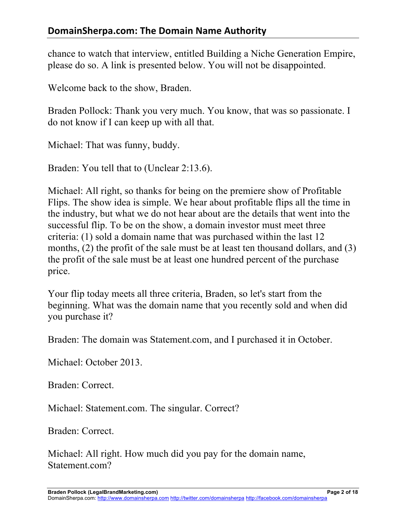chance to watch that interview, entitled Building a Niche Generation Empire, please do so. A link is presented below. You will not be disappointed.

Welcome back to the show, Braden.

Braden Pollock: Thank you very much. You know, that was so passionate. I do not know if I can keep up with all that.

Michael: That was funny, buddy.

Braden: You tell that to (Unclear 2:13.6).

Michael: All right, so thanks for being on the premiere show of Profitable Flips. The show idea is simple. We hear about profitable flips all the time in the industry, but what we do not hear about are the details that went into the successful flip. To be on the show, a domain investor must meet three criteria: (1) sold a domain name that was purchased within the last 12 months, (2) the profit of the sale must be at least ten thousand dollars, and (3) the profit of the sale must be at least one hundred percent of the purchase price.

Your flip today meets all three criteria, Braden, so let's start from the beginning. What was the domain name that you recently sold and when did you purchase it?

Braden: The domain was Statement.com, and I purchased it in October.

Michael: October 2013.

Braden: Correct.

Michael: Statement.com. The singular. Correct?

Braden: Correct.

Michael: All right. How much did you pay for the domain name, Statement.com?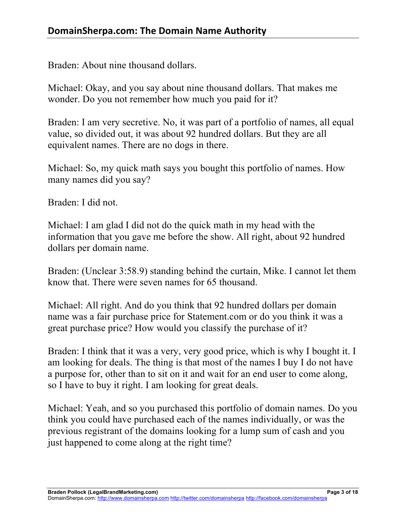Braden: About nine thousand dollars.

Michael: Okay, and you say about nine thousand dollars. That makes me wonder. Do you not remember how much you paid for it?

Braden: I am very secretive. No, it was part of a portfolio of names, all equal value, so divided out, it was about 92 hundred dollars. But they are all equivalent names. There are no dogs in there.

Michael: So, my quick math says you bought this portfolio of names. How many names did you say?

Braden: I did not.

Michael: I am glad I did not do the quick math in my head with the information that you gave me before the show. All right, about 92 hundred dollars per domain name.

Braden: (Unclear 3:58.9) standing behind the curtain, Mike. I cannot let them know that. There were seven names for 65 thousand.

Michael: All right. And do you think that 92 hundred dollars per domain name was a fair purchase price for Statement.com or do you think it was a great purchase price? How would you classify the purchase of it?

Braden: I think that it was a very, very good price, which is why I bought it. I am looking for deals. The thing is that most of the names I buy I do not have a purpose for, other than to sit on it and wait for an end user to come along, so I have to buy it right. I am looking for great deals.

Michael: Yeah, and so you purchased this portfolio of domain names. Do you think you could have purchased each of the names individually, or was the previous registrant of the domains looking for a lump sum of cash and you just happened to come along at the right time?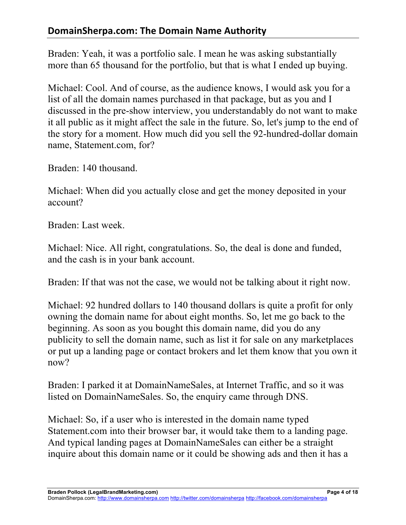Braden: Yeah, it was a portfolio sale. I mean he was asking substantially more than 65 thousand for the portfolio, but that is what I ended up buying.

Michael: Cool. And of course, as the audience knows, I would ask you for a list of all the domain names purchased in that package, but as you and I discussed in the pre-show interview, you understandably do not want to make it all public as it might affect the sale in the future. So, let's jump to the end of the story for a moment. How much did you sell the 92-hundred-dollar domain name, Statement.com, for?

Braden: 140 thousand.

Michael: When did you actually close and get the money deposited in your account?

Braden: Last week.

Michael: Nice. All right, congratulations. So, the deal is done and funded, and the cash is in your bank account.

Braden: If that was not the case, we would not be talking about it right now.

Michael: 92 hundred dollars to 140 thousand dollars is quite a profit for only owning the domain name for about eight months. So, let me go back to the beginning. As soon as you bought this domain name, did you do any publicity to sell the domain name, such as list it for sale on any marketplaces or put up a landing page or contact brokers and let them know that you own it now?

Braden: I parked it at DomainNameSales, at Internet Traffic, and so it was listed on DomainNameSales. So, the enquiry came through DNS.

Michael: So, if a user who is interested in the domain name typed Statement.com into their browser bar, it would take them to a landing page. And typical landing pages at DomainNameSales can either be a straight inquire about this domain name or it could be showing ads and then it has a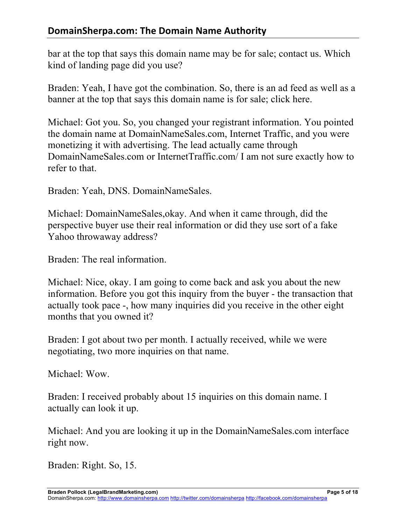bar at the top that says this domain name may be for sale; contact us. Which kind of landing page did you use?

Braden: Yeah, I have got the combination. So, there is an ad feed as well as a banner at the top that says this domain name is for sale; click here.

Michael: Got you. So, you changed your registrant information. You pointed the domain name at DomainNameSales.com, Internet Traffic, and you were monetizing it with advertising. The lead actually came through DomainNameSales.com or InternetTraffic.com/ I am not sure exactly how to refer to that.

Braden: Yeah, DNS. DomainNameSales.

Michael: DomainNameSales,okay. And when it came through, did the perspective buyer use their real information or did they use sort of a fake Yahoo throwaway address?

Braden: The real information.

Michael: Nice, okay. I am going to come back and ask you about the new information. Before you got this inquiry from the buyer - the transaction that actually took pace -, how many inquiries did you receive in the other eight months that you owned it?

Braden: I got about two per month. I actually received, while we were negotiating, two more inquiries on that name.

Michael: Wow.

Braden: I received probably about 15 inquiries on this domain name. I actually can look it up.

Michael: And you are looking it up in the DomainNameSales.com interface right now.

Braden: Right. So, 15.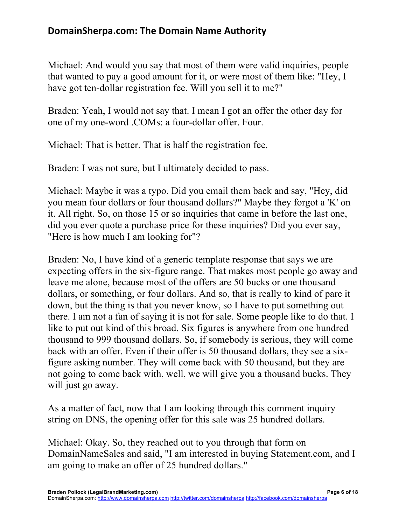Michael: And would you say that most of them were valid inquiries, people that wanted to pay a good amount for it, or were most of them like: "Hey, I have got ten-dollar registration fee. Will you sell it to me?"

Braden: Yeah, I would not say that. I mean I got an offer the other day for one of my one-word .COMs: a four-dollar offer. Four.

Michael: That is better. That is half the registration fee.

Braden: I was not sure, but I ultimately decided to pass.

Michael: Maybe it was a typo. Did you email them back and say, "Hey, did you mean four dollars or four thousand dollars?" Maybe they forgot a 'K' on it. All right. So, on those 15 or so inquiries that came in before the last one, did you ever quote a purchase price for these inquiries? Did you ever say, "Here is how much I am looking for"?

Braden: No, I have kind of a generic template response that says we are expecting offers in the six-figure range. That makes most people go away and leave me alone, because most of the offers are 50 bucks or one thousand dollars, or something, or four dollars. And so, that is really to kind of pare it down, but the thing is that you never know, so I have to put something out there. I am not a fan of saying it is not for sale. Some people like to do that. I like to put out kind of this broad. Six figures is anywhere from one hundred thousand to 999 thousand dollars. So, if somebody is serious, they will come back with an offer. Even if their offer is 50 thousand dollars, they see a sixfigure asking number. They will come back with 50 thousand, but they are not going to come back with, well, we will give you a thousand bucks. They will just go away.

As a matter of fact, now that I am looking through this comment inquiry string on DNS, the opening offer for this sale was 25 hundred dollars.

Michael: Okay. So, they reached out to you through that form on DomainNameSales and said, "I am interested in buying Statement.com, and I am going to make an offer of 25 hundred dollars."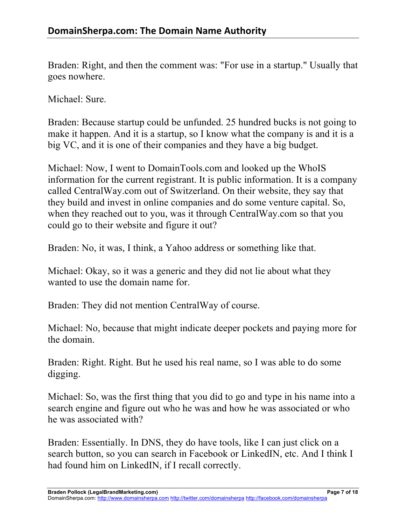Braden: Right, and then the comment was: "For use in a startup." Usually that goes nowhere.

Michael: Sure.

Braden: Because startup could be unfunded. 25 hundred bucks is not going to make it happen. And it is a startup, so I know what the company is and it is a big VC, and it is one of their companies and they have a big budget.

Michael: Now, I went to DomainTools.com and looked up the WhoIS information for the current registrant. It is public information. It is a company called CentralWay.com out of Switzerland. On their website, they say that they build and invest in online companies and do some venture capital. So, when they reached out to you, was it through CentralWay.com so that you could go to their website and figure it out?

Braden: No, it was, I think, a Yahoo address or something like that.

Michael: Okay, so it was a generic and they did not lie about what they wanted to use the domain name for.

Braden: They did not mention CentralWay of course.

Michael: No, because that might indicate deeper pockets and paying more for the domain.

Braden: Right. Right. But he used his real name, so I was able to do some digging.

Michael: So, was the first thing that you did to go and type in his name into a search engine and figure out who he was and how he was associated or who he was associated with?

Braden: Essentially. In DNS, they do have tools, like I can just click on a search button, so you can search in Facebook or LinkedIN, etc. And I think I had found him on LinkedIN, if I recall correctly.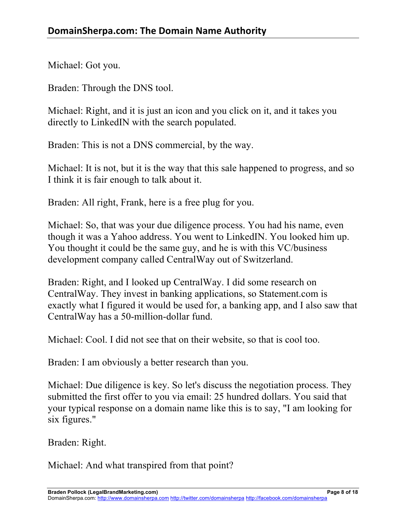Michael: Got you.

Braden: Through the DNS tool.

Michael: Right, and it is just an icon and you click on it, and it takes you directly to LinkedIN with the search populated.

Braden: This is not a DNS commercial, by the way.

Michael: It is not, but it is the way that this sale happened to progress, and so I think it is fair enough to talk about it.

Braden: All right, Frank, here is a free plug for you.

Michael: So, that was your due diligence process. You had his name, even though it was a Yahoo address. You went to LinkedIN. You looked him up. You thought it could be the same guy, and he is with this VC/business development company called CentralWay out of Switzerland.

Braden: Right, and I looked up CentralWay. I did some research on CentralWay. They invest in banking applications, so Statement.com is exactly what I figured it would be used for, a banking app, and I also saw that CentralWay has a 50-million-dollar fund.

Michael: Cool. I did not see that on their website, so that is cool too.

Braden: I am obviously a better research than you.

Michael: Due diligence is key. So let's discuss the negotiation process. They submitted the first offer to you via email: 25 hundred dollars. You said that your typical response on a domain name like this is to say, "I am looking for six figures."

Braden: Right.

Michael: And what transpired from that point?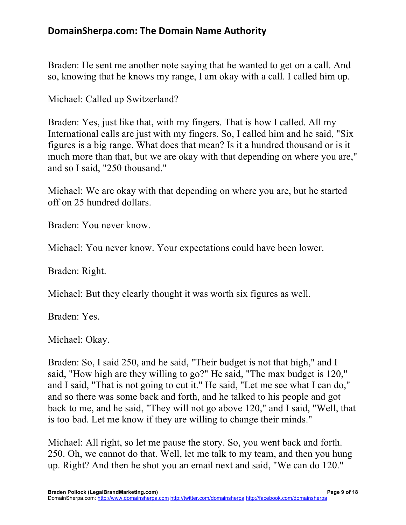Braden: He sent me another note saying that he wanted to get on a call. And so, knowing that he knows my range, I am okay with a call. I called him up.

Michael: Called up Switzerland?

Braden: Yes, just like that, with my fingers. That is how I called. All my International calls are just with my fingers. So, I called him and he said, "Six figures is a big range. What does that mean? Is it a hundred thousand or is it much more than that, but we are okay with that depending on where you are," and so I said, "250 thousand."

Michael: We are okay with that depending on where you are, but he started off on 25 hundred dollars.

Braden: You never know.

Michael: You never know. Your expectations could have been lower.

Braden: Right.

Michael: But they clearly thought it was worth six figures as well.

Braden: Yes.

Michael: Okay.

Braden: So, I said 250, and he said, "Their budget is not that high," and I said, "How high are they willing to go?" He said, "The max budget is 120," and I said, "That is not going to cut it." He said, "Let me see what I can do," and so there was some back and forth, and he talked to his people and got back to me, and he said, "They will not go above 120," and I said, "Well, that is too bad. Let me know if they are willing to change their minds."

Michael: All right, so let me pause the story. So, you went back and forth. 250. Oh, we cannot do that. Well, let me talk to my team, and then you hung up. Right? And then he shot you an email next and said, "We can do 120."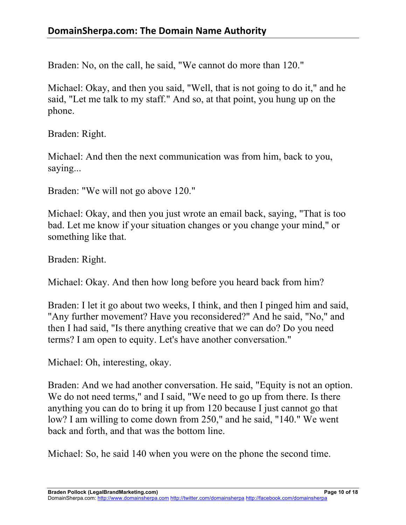Braden: No, on the call, he said, "We cannot do more than 120."

Michael: Okay, and then you said, "Well, that is not going to do it," and he said, "Let me talk to my staff." And so, at that point, you hung up on the phone.

Braden: Right.

Michael: And then the next communication was from him, back to you, saying...

Braden: "We will not go above 120."

Michael: Okay, and then you just wrote an email back, saying, "That is too bad. Let me know if your situation changes or you change your mind," or something like that.

Braden: Right.

Michael: Okay. And then how long before you heard back from him?

Braden: I let it go about two weeks, I think, and then I pinged him and said, "Any further movement? Have you reconsidered?" And he said, "No," and then I had said, "Is there anything creative that we can do? Do you need terms? I am open to equity. Let's have another conversation."

Michael: Oh, interesting, okay.

Braden: And we had another conversation. He said, "Equity is not an option. We do not need terms," and I said, "We need to go up from there. Is there anything you can do to bring it up from 120 because I just cannot go that low? I am willing to come down from 250," and he said, "140." We went back and forth, and that was the bottom line.

Michael: So, he said 140 when you were on the phone the second time.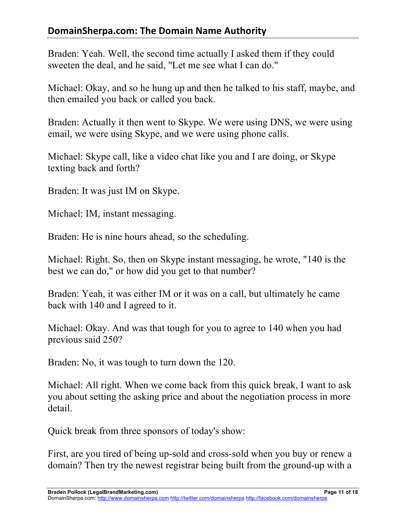## **DomainSherpa.com: The Domain Name Authority**

Braden: Yeah. Well, the second time actually I asked them if they could sweeten the deal, and he said, "Let me see what I can do."

Michael: Okay, and so he hung up and then he talked to his staff, maybe, and then emailed you back or called you back.

Braden: Actually it then went to Skype. We were using DNS, we were using email, we were using Skype, and we were using phone calls.

Michael: Skype call, like a video chat like you and I are doing, or Skype texting back and forth?

Braden: It was just IM on Skype.

Michael: IM, instant messaging.

Braden: He is nine hours ahead, so the scheduling.

Michael: Right. So, then on Skype instant messaging, he wrote, "140 is the best we can do," or how did you get to that number?

Braden: Yeah, it was either IM or it was on a call, but ultimately he came back with 140 and I agreed to it.

Michael: Okay. And was that tough for you to agree to 140 when you had previous said 250?

Braden: No, it was tough to turn down the 120.

Michael: All right. When we come back from this quick break, I want to ask you about setting the asking price and about the negotiation process in more detail.

Quick break from three sponsors of today's show:

First, are you tired of being up-sold and cross-sold when you buy or renew a domain? Then try the newest registrar being built from the ground-up with a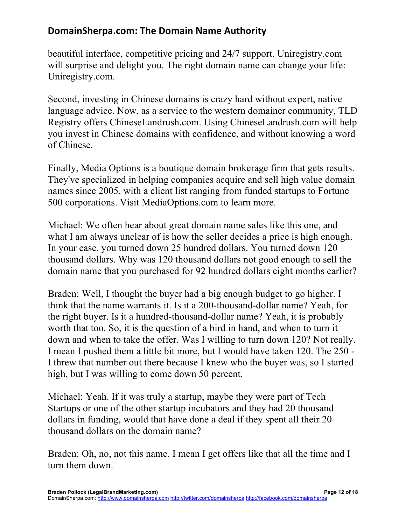beautiful interface, competitive pricing and 24/7 support. Uniregistry.com will surprise and delight you. The right domain name can change your life: Uniregistry.com.

Second, investing in Chinese domains is crazy hard without expert, native language advice. Now, as a service to the western domainer community, TLD Registry offers ChineseLandrush.com. Using ChineseLandrush.com will help you invest in Chinese domains with confidence, and without knowing a word of Chinese.

Finally, Media Options is a boutique domain brokerage firm that gets results. They've specialized in helping companies acquire and sell high value domain names since 2005, with a client list ranging from funded startups to Fortune 500 corporations. Visit MediaOptions.com to learn more.

Michael: We often hear about great domain name sales like this one, and what I am always unclear of is how the seller decides a price is high enough. In your case, you turned down 25 hundred dollars. You turned down 120 thousand dollars. Why was 120 thousand dollars not good enough to sell the domain name that you purchased for 92 hundred dollars eight months earlier?

Braden: Well, I thought the buyer had a big enough budget to go higher. I think that the name warrants it. Is it a 200-thousand-dollar name? Yeah, for the right buyer. Is it a hundred-thousand-dollar name? Yeah, it is probably worth that too. So, it is the question of a bird in hand, and when to turn it down and when to take the offer. Was I willing to turn down 120? Not really. I mean I pushed them a little bit more, but I would have taken 120. The 250 - I threw that number out there because I knew who the buyer was, so I started high, but I was willing to come down 50 percent.

Michael: Yeah. If it was truly a startup, maybe they were part of Tech Startups or one of the other startup incubators and they had 20 thousand dollars in funding, would that have done a deal if they spent all their 20 thousand dollars on the domain name?

Braden: Oh, no, not this name. I mean I get offers like that all the time and I turn them down.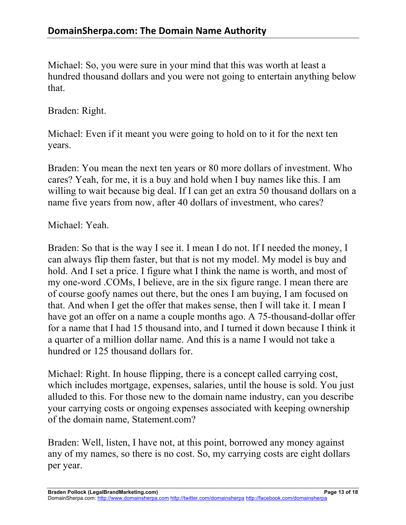Michael: So, you were sure in your mind that this was worth at least a hundred thousand dollars and you were not going to entertain anything below that.

#### Braden: Right.

Michael: Even if it meant you were going to hold on to it for the next ten years.

Braden: You mean the next ten years or 80 more dollars of investment. Who cares? Yeah, for me, it is a buy and hold when I buy names like this. I am willing to wait because big deal. If I can get an extra 50 thousand dollars on a name five years from now, after 40 dollars of investment, who cares?

#### Michael: Yeah.

Braden: So that is the way I see it. I mean I do not. If I needed the money, I can always flip them faster, but that is not my model. My model is buy and hold. And I set a price. I figure what I think the name is worth, and most of my one-word .COMs, I believe, are in the six figure range. I mean there are of course goofy names out there, but the ones I am buying, I am focused on that. And when I get the offer that makes sense, then I will take it. I mean I have got an offer on a name a couple months ago. A 75-thousand-dollar offer for a name that I had 15 thousand into, and I turned it down because I think it a quarter of a million dollar name. And this is a name I would not take a hundred or 125 thousand dollars for.

Michael: Right. In house flipping, there is a concept called carrying cost, which includes mortgage, expenses, salaries, until the house is sold. You just alluded to this. For those new to the domain name industry, can you describe your carrying costs or ongoing expenses associated with keeping ownership of the domain name, Statement.com?

Braden: Well, listen, I have not, at this point, borrowed any money against any of my names, so there is no cost. So, my carrying costs are eight dollars per year.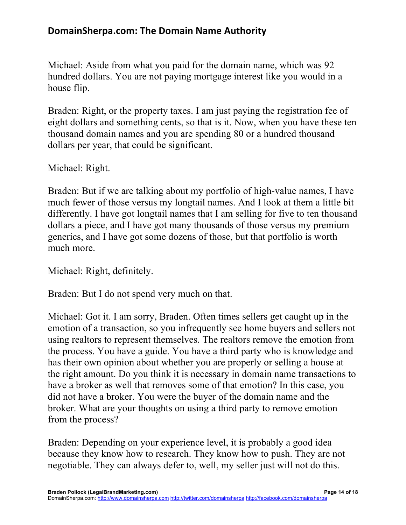Michael: Aside from what you paid for the domain name, which was 92 hundred dollars. You are not paying mortgage interest like you would in a house flip.

Braden: Right, or the property taxes. I am just paying the registration fee of eight dollars and something cents, so that is it. Now, when you have these ten thousand domain names and you are spending 80 or a hundred thousand dollars per year, that could be significant.

Michael: Right.

Braden: But if we are talking about my portfolio of high-value names, I have much fewer of those versus my longtail names. And I look at them a little bit differently. I have got longtail names that I am selling for five to ten thousand dollars a piece, and I have got many thousands of those versus my premium generics, and I have got some dozens of those, but that portfolio is worth much more.

Michael: Right, definitely.

Braden: But I do not spend very much on that.

Michael: Got it. I am sorry, Braden. Often times sellers get caught up in the emotion of a transaction, so you infrequently see home buyers and sellers not using realtors to represent themselves. The realtors remove the emotion from the process. You have a guide. You have a third party who is knowledge and has their own opinion about whether you are properly or selling a house at the right amount. Do you think it is necessary in domain name transactions to have a broker as well that removes some of that emotion? In this case, you did not have a broker. You were the buyer of the domain name and the broker. What are your thoughts on using a third party to remove emotion from the process?

Braden: Depending on your experience level, it is probably a good idea because they know how to research. They know how to push. They are not negotiable. They can always defer to, well, my seller just will not do this.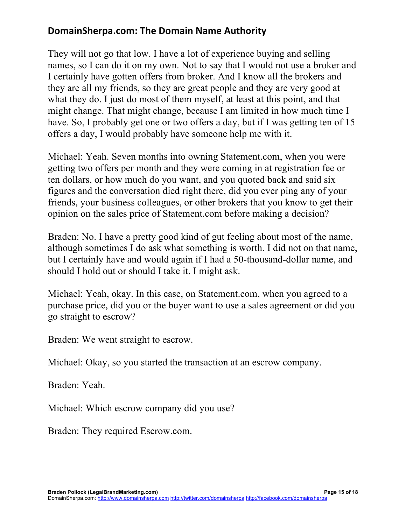## **DomainSherpa.com: The Domain Name Authority**

They will not go that low. I have a lot of experience buying and selling names, so I can do it on my own. Not to say that I would not use a broker and I certainly have gotten offers from broker. And I know all the brokers and they are all my friends, so they are great people and they are very good at what they do. I just do most of them myself, at least at this point, and that might change. That might change, because I am limited in how much time I have. So, I probably get one or two offers a day, but if I was getting ten of 15 offers a day, I would probably have someone help me with it.

Michael: Yeah. Seven months into owning Statement.com, when you were getting two offers per month and they were coming in at registration fee or ten dollars, or how much do you want, and you quoted back and said six figures and the conversation died right there, did you ever ping any of your friends, your business colleagues, or other brokers that you know to get their opinion on the sales price of Statement.com before making a decision?

Braden: No. I have a pretty good kind of gut feeling about most of the name, although sometimes I do ask what something is worth. I did not on that name, but I certainly have and would again if I had a 50-thousand-dollar name, and should I hold out or should I take it. I might ask.

Michael: Yeah, okay. In this case, on Statement.com, when you agreed to a purchase price, did you or the buyer want to use a sales agreement or did you go straight to escrow?

Braden: We went straight to escrow.

Michael: Okay, so you started the transaction at an escrow company.

Braden: Yeah.

Michael: Which escrow company did you use?

Braden: They required Escrow.com.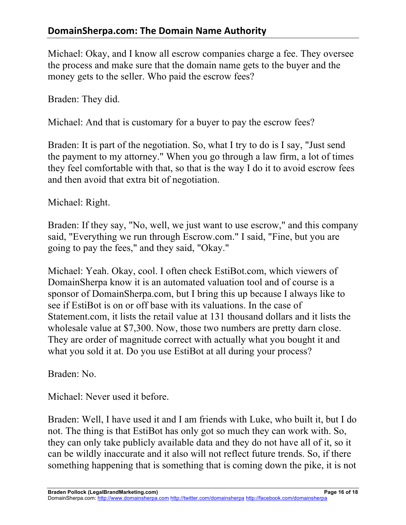## **DomainSherpa.com: The Domain Name Authority**

Michael: Okay, and I know all escrow companies charge a fee. They oversee the process and make sure that the domain name gets to the buyer and the money gets to the seller. Who paid the escrow fees?

Braden: They did.

Michael: And that is customary for a buyer to pay the escrow fees?

Braden: It is part of the negotiation. So, what I try to do is I say, "Just send the payment to my attorney." When you go through a law firm, a lot of times they feel comfortable with that, so that is the way I do it to avoid escrow fees and then avoid that extra bit of negotiation.

Michael: Right.

Braden: If they say, "No, well, we just want to use escrow," and this company said, "Everything we run through Escrow.com." I said, "Fine, but you are going to pay the fees," and they said, "Okay."

Michael: Yeah. Okay, cool. I often check EstiBot.com, which viewers of DomainSherpa know it is an automated valuation tool and of course is a sponsor of DomainSherpa.com, but I bring this up because I always like to see if EstiBot is on or off base with its valuations. In the case of Statement.com, it lists the retail value at 131 thousand dollars and it lists the wholesale value at \$7,300. Now, those two numbers are pretty darn close. They are order of magnitude correct with actually what you bought it and what you sold it at. Do you use EstiBot at all during your process?

Braden: No.

Michael: Never used it before.

Braden: Well, I have used it and I am friends with Luke, who built it, but I do not. The thing is that EstiBot has only got so much they can work with. So, they can only take publicly available data and they do not have all of it, so it can be wildly inaccurate and it also will not reflect future trends. So, if there something happening that is something that is coming down the pike, it is not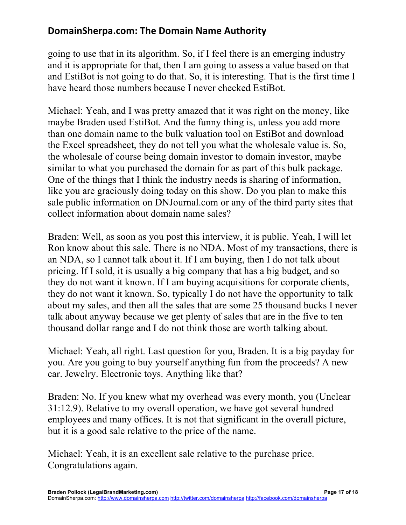going to use that in its algorithm. So, if I feel there is an emerging industry and it is appropriate for that, then I am going to assess a value based on that and EstiBot is not going to do that. So, it is interesting. That is the first time I have heard those numbers because I never checked EstiBot.

Michael: Yeah, and I was pretty amazed that it was right on the money, like maybe Braden used EstiBot. And the funny thing is, unless you add more than one domain name to the bulk valuation tool on EstiBot and download the Excel spreadsheet, they do not tell you what the wholesale value is. So, the wholesale of course being domain investor to domain investor, maybe similar to what you purchased the domain for as part of this bulk package. One of the things that I think the industry needs is sharing of information, like you are graciously doing today on this show. Do you plan to make this sale public information on DNJournal.com or any of the third party sites that collect information about domain name sales?

Braden: Well, as soon as you post this interview, it is public. Yeah, I will let Ron know about this sale. There is no NDA. Most of my transactions, there is an NDA, so I cannot talk about it. If I am buying, then I do not talk about pricing. If I sold, it is usually a big company that has a big budget, and so they do not want it known. If I am buying acquisitions for corporate clients, they do not want it known. So, typically I do not have the opportunity to talk about my sales, and then all the sales that are some 25 thousand bucks I never talk about anyway because we get plenty of sales that are in the five to ten thousand dollar range and I do not think those are worth talking about.

Michael: Yeah, all right. Last question for you, Braden. It is a big payday for you. Are you going to buy yourself anything fun from the proceeds? A new car. Jewelry. Electronic toys. Anything like that?

Braden: No. If you knew what my overhead was every month, you (Unclear 31:12.9). Relative to my overall operation, we have got several hundred employees and many offices. It is not that significant in the overall picture, but it is a good sale relative to the price of the name.

Michael: Yeah, it is an excellent sale relative to the purchase price. Congratulations again.